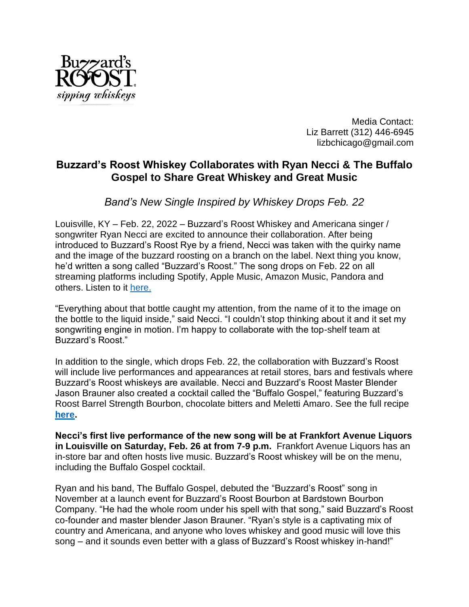

Media Contact: Liz Barrett (312) 446-6945 lizbchicago@gmail.com

## **Buzzard's Roost Whiskey Collaborates with Ryan Necci & The Buffalo Gospel to Share Great Whiskey and Great Music**

*Band's New Single Inspired by Whiskey Drops Feb. 22*

Louisville, KY – Feb. 22, 2022 – Buzzard's Roost Whiskey and Americana singer / songwriter Ryan Necci are excited to announce their collaboration. After being introduced to Buzzard's Roost Rye by a friend, Necci was taken with the quirky name and the image of the buzzard roosting on a branch on the label. Next thing you know, he'd written a song called "Buzzard's Roost." The song drops on Feb. 22 on all streaming platforms including Spotify, Apple Music, Amazon Music, Pandora and others. Listen to it [here.](https://ryannecci.lnk.to/BuzzardsRoost)

"Everything about that bottle caught my attention, from the name of it to the image on the bottle to the liquid inside," said Necci. "I couldn't stop thinking about it and it set my songwriting engine in motion. I'm happy to collaborate with the top-shelf team at Buzzard's Roost."

In addition to the single, which drops Feb. 22, the collaboration with Buzzard's Roost will include live performances and appearances at retail stores, bars and festivals where Buzzard's Roost whiskeys are available. Necci and Buzzard's Roost Master Blender Jason Brauner also created a cocktail called the "Buffalo Gospel," featuring Buzzard's Roost Barrel Strength Bourbon, chocolate bitters and Meletti Amaro. See the full recipe **[here.](https://www.buzzardsroostwhiskey.com/recipes/buffalo-gospel-manhattan)**

**Necci's first live performance of the new song will be at Frankfort Avenue Liquors in Louisville on Saturday, Feb. 26 at from 7-9 p.m.** Frankfort Avenue Liquors has an in-store bar and often hosts live music. Buzzard's Roost whiskey will be on the menu, including the Buffalo Gospel cocktail.

Ryan and his band, The Buffalo Gospel, debuted the "Buzzard's Roost" song in November at a launch event for Buzzard's Roost Bourbon at Bardstown Bourbon Company. "He had the whole room under his spell with that song," said Buzzard's Roost co-founder and master blender Jason Brauner. "Ryan's style is a captivating mix of country and Americana, and anyone who loves whiskey and good music will love this song – and it sounds even better with a glass of Buzzard's Roost whiskey in-hand!"